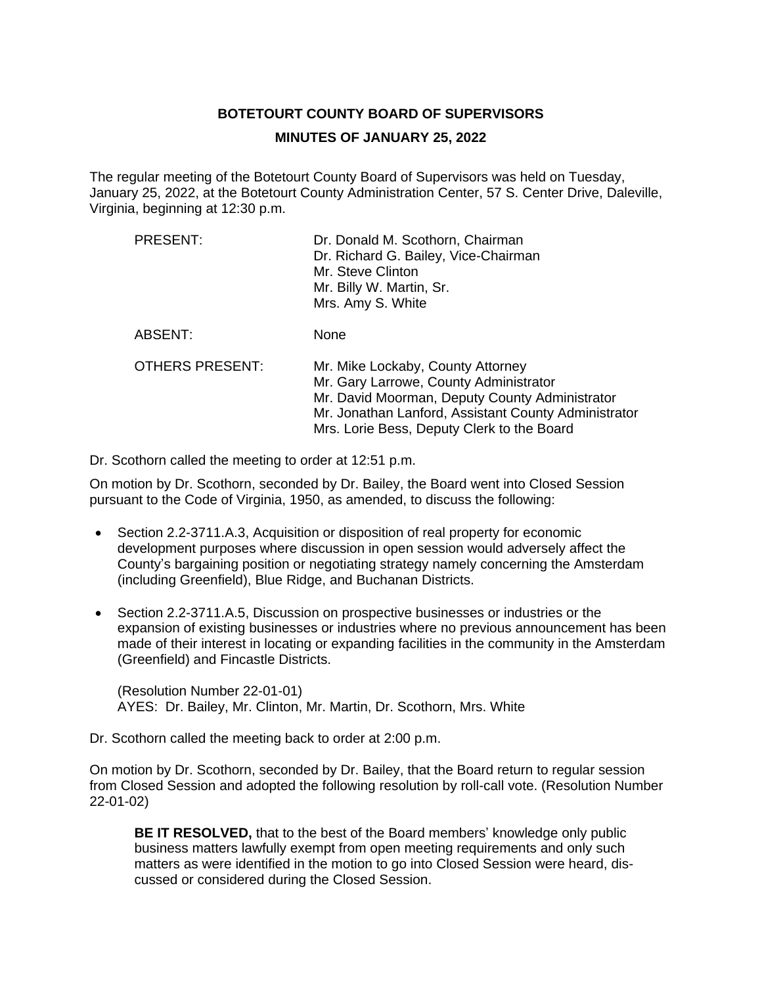## **BOTETOURT COUNTY BOARD OF SUPERVISORS**

#### **MINUTES OF JANUARY 25, 2022**

The regular meeting of the Botetourt County Board of Supervisors was held on Tuesday, January 25, 2022, at the Botetourt County Administration Center, 57 S. Center Drive, Daleville, Virginia, beginning at 12:30 p.m.

| <b>PRESENT:</b>        | Dr. Donald M. Scothorn, Chairman<br>Dr. Richard G. Bailey, Vice-Chairman<br>Mr. Steve Clinton<br>Mr. Billy W. Martin, Sr.<br>Mrs. Amy S. White                                                                                      |
|------------------------|-------------------------------------------------------------------------------------------------------------------------------------------------------------------------------------------------------------------------------------|
| ABSENT:                | None                                                                                                                                                                                                                                |
| <b>OTHERS PRESENT:</b> | Mr. Mike Lockaby, County Attorney<br>Mr. Gary Larrowe, County Administrator<br>Mr. David Moorman, Deputy County Administrator<br>Mr. Jonathan Lanford, Assistant County Administrator<br>Mrs. Lorie Bess, Deputy Clerk to the Board |

Dr. Scothorn called the meeting to order at 12:51 p.m.

On motion by Dr. Scothorn, seconded by Dr. Bailey, the Board went into Closed Session pursuant to the Code of Virginia, 1950, as amended, to discuss the following:

- Section 2.2-3711.A.3, Acquisition or disposition of real property for economic development purposes where discussion in open session would adversely affect the County's bargaining position or negotiating strategy namely concerning the Amsterdam (including Greenfield), Blue Ridge, and Buchanan Districts.
- Section 2.2-3711.A.5, Discussion on prospective businesses or industries or the expansion of existing businesses or industries where no previous announcement has been made of their interest in locating or expanding facilities in the community in the Amsterdam (Greenfield) and Fincastle Districts.

(Resolution Number 22-01-01) AYES: Dr. Bailey, Mr. Clinton, Mr. Martin, Dr. Scothorn, Mrs. White

Dr. Scothorn called the meeting back to order at 2:00 p.m.

On motion by Dr. Scothorn, seconded by Dr. Bailey, that the Board return to regular session from Closed Session and adopted the following resolution by roll-call vote. (Resolution Number 22-01-02)

**BE IT RESOLVED,** that to the best of the Board members' knowledge only public business matters lawfully exempt from open meeting requirements and only such matters as were identified in the motion to go into Closed Session were heard, discussed or considered during the Closed Session.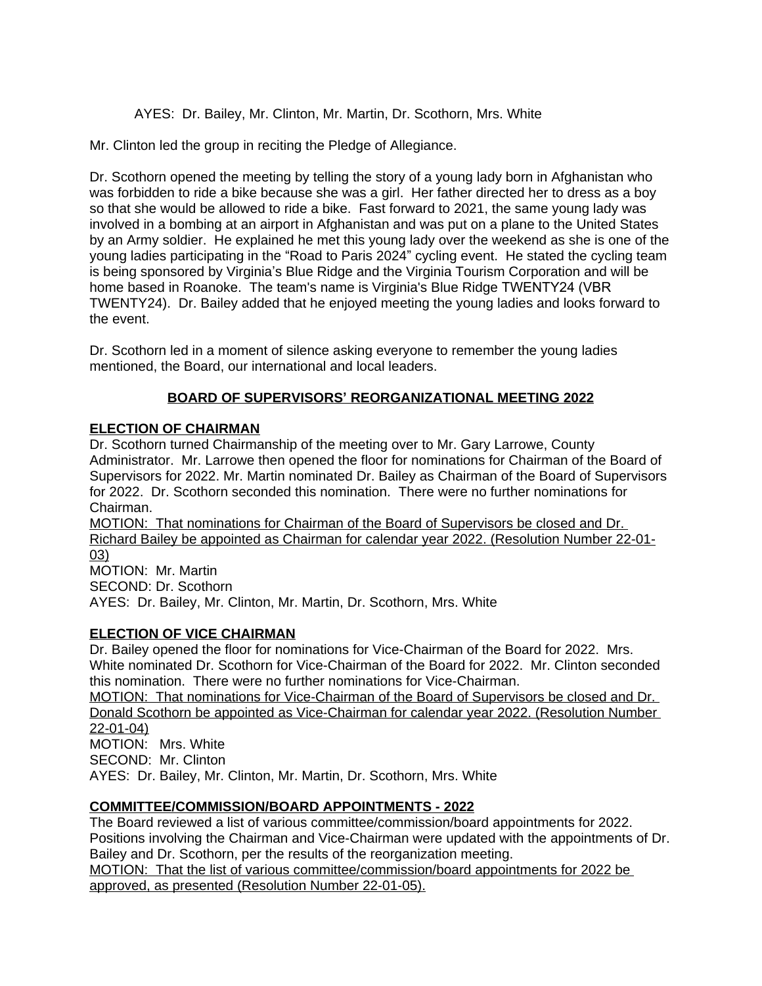AYES: Dr. Bailey, Mr. Clinton, Mr. Martin, Dr. Scothorn, Mrs. White

Mr. Clinton led the group in reciting the Pledge of Allegiance.

Dr. Scothorn opened the meeting by telling the story of a young lady born in Afghanistan who was forbidden to ride a bike because she was a girl. Her father directed her to dress as a boy so that she would be allowed to ride a bike. Fast forward to 2021, the same young lady was involved in a bombing at an airport in Afghanistan and was put on a plane to the United States by an Army soldier. He explained he met this young lady over the weekend as she is one of the young ladies participating in the "Road to Paris 2024" cycling event. He stated the cycling team is being sponsored by Virginia's Blue Ridge and the Virginia Tourism Corporation and will be home based in Roanoke. The team's name is Virginia's Blue Ridge TWENTY24 (VBR TWENTY24). Dr. Bailey added that he enjoyed meeting the young ladies and looks forward to the event.

Dr. Scothorn led in a moment of silence asking everyone to remember the young ladies mentioned, the Board, our international and local leaders.

# **BOARD OF SUPERVISORS' REORGANIZATIONAL MEETING 2022**

# **ELECTION OF CHAIRMAN**

Dr. Scothorn turned Chairmanship of the meeting over to Mr. Gary Larrowe, County Administrator. Mr. Larrowe then opened the floor for nominations for Chairman of the Board of Supervisors for 2022. Mr. Martin nominated Dr. Bailey as Chairman of the Board of Supervisors for 2022. Dr. Scothorn seconded this nomination. There were no further nominations for Chairman.

MOTION: That nominations for Chairman of the Board of Supervisors be closed and Dr. Richard Bailey be appointed as Chairman for calendar year 2022. (Resolution Number 22-01- 03) MOTION: Mr. Martin

SECOND: Dr. Scothorn AYES: Dr. Bailey, Mr. Clinton, Mr. Martin, Dr. Scothorn, Mrs. White

# **ELECTION OF VICE CHAIRMAN**

Dr. Bailey opened the floor for nominations for Vice-Chairman of the Board for 2022. Mrs. White nominated Dr. Scothorn for Vice-Chairman of the Board for 2022. Mr. Clinton seconded this nomination. There were no further nominations for Vice-Chairman. MOTION: That nominations for Vice-Chairman of the Board of Supervisors be closed and Dr. Donald Scothorn be appointed as Vice-Chairman for calendar year 2022. (Resolution Number 22-01-04) MOTION: Mrs. White SECOND: Mr. Clinton

AYES: Dr. Bailey, Mr. Clinton, Mr. Martin, Dr. Scothorn, Mrs. White

# **COMMITTEE/COMMISSION/BOARD APPOINTMENTS - 2022**

The Board reviewed a list of various committee/commission/board appointments for 2022. Positions involving the Chairman and Vice-Chairman were updated with the appointments of Dr. Bailey and Dr. Scothorn, per the results of the reorganization meeting.

MOTION: That the list of various committee/commission/board appointments for 2022 be approved, as presented (Resolution Number 22-01-05).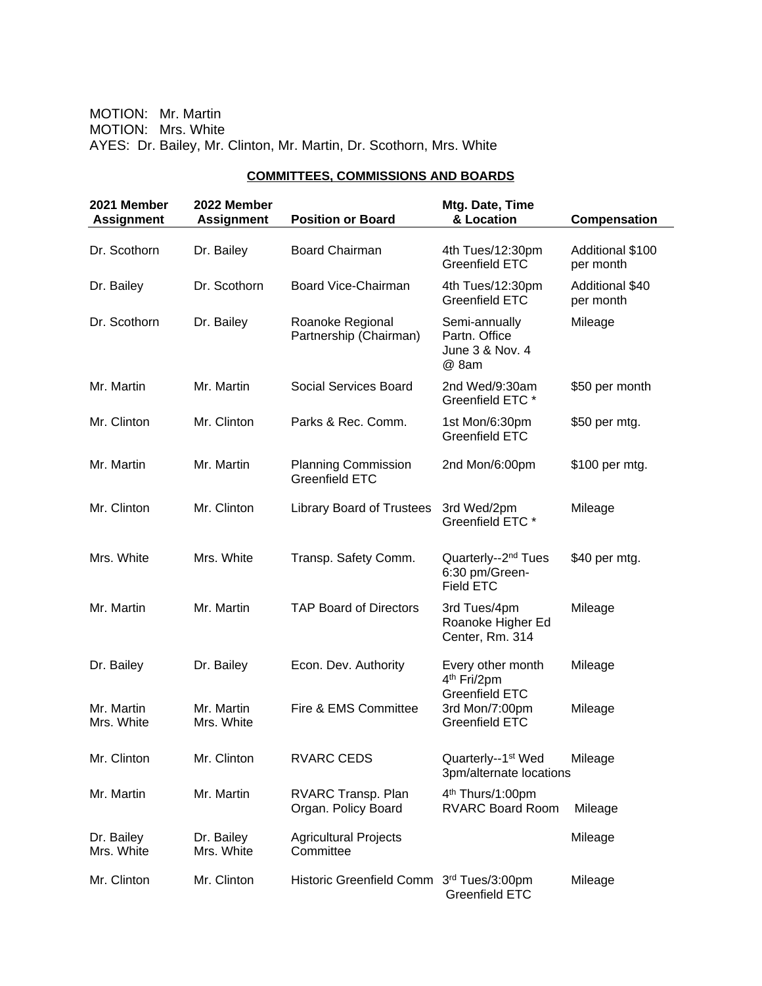# MOTION: Mr. Martin MOTION: Mrs. White AYES: Dr. Bailey, Mr. Clinton, Mr. Martin, Dr. Scothorn, Mrs. White

| 2021 Member<br><b>Assignment</b> | 2022 Member<br><b>Assignment</b> | <b>Position or Board</b>                            | Mtg. Date, Time<br>& Location                                         | Compensation                  |
|----------------------------------|----------------------------------|-----------------------------------------------------|-----------------------------------------------------------------------|-------------------------------|
| Dr. Scothorn                     | Dr. Bailey                       | <b>Board Chairman</b>                               | 4th Tues/12:30pm<br><b>Greenfield ETC</b>                             | Additional \$100<br>per month |
| Dr. Bailey                       | Dr. Scothorn                     | <b>Board Vice-Chairman</b>                          | 4th Tues/12:30pm<br><b>Greenfield ETC</b>                             | Additional \$40<br>per month  |
| Dr. Scothorn                     | Dr. Bailey                       | Roanoke Regional<br>Partnership (Chairman)          | Semi-annually<br>Partn. Office<br>June 3 & Nov. 4<br>@ 8am            | Mileage                       |
| Mr. Martin                       | Mr. Martin                       | Social Services Board                               | 2nd Wed/9:30am<br>Greenfield ETC <sup>*</sup>                         | \$50 per month                |
| Mr. Clinton                      | Mr. Clinton                      | Parks & Rec. Comm.                                  | 1st Mon/6:30pm<br><b>Greenfield ETC</b>                               | \$50 per mtg.                 |
| Mr. Martin                       | Mr. Martin                       | <b>Planning Commission</b><br><b>Greenfield ETC</b> | 2nd Mon/6:00pm                                                        | \$100 per mtg.                |
| Mr. Clinton                      | Mr. Clinton                      | <b>Library Board of Trustees</b>                    | 3rd Wed/2pm<br>Greenfield ETC <sup>*</sup>                            | Mileage                       |
| Mrs. White                       | Mrs. White                       | Transp. Safety Comm.                                | Quarterly--2 <sup>nd</sup> Tues<br>6:30 pm/Green-<br><b>Field ETC</b> | \$40 per mtg.                 |
| Mr. Martin                       | Mr. Martin                       | <b>TAP Board of Directors</b>                       | 3rd Tues/4pm<br>Roanoke Higher Ed<br>Center, Rm. 314                  | Mileage                       |
| Dr. Bailey                       | Dr. Bailey                       | Econ. Dev. Authority                                | Every other month<br>4 <sup>th</sup> Fri/2pm                          | Mileage                       |
| Mr. Martin<br>Mrs. White         | Mr. Martin<br>Mrs. White         | Fire & EMS Committee                                | <b>Greenfield ETC</b><br>3rd Mon/7:00pm<br><b>Greenfield ETC</b>      | Mileage                       |
| Mr. Clinton                      | Mr. Clinton                      | <b>RVARC CEDS</b>                                   | Quarterly--1 <sup>st</sup> Wed<br>3pm/alternate locations             | Mileage                       |
| Mr. Martin                       | Mr. Martin                       | RVARC Transp. Plan<br>Organ. Policy Board           | 4 <sup>th</sup> Thurs/1:00pm<br><b>RVARC Board Room</b>               | Mileage                       |
| Dr. Bailey<br>Mrs. White         | Dr. Bailey<br>Mrs. White         | <b>Agricultural Projects</b><br>Committee           |                                                                       | Mileage                       |
| Mr. Clinton                      | Mr. Clinton                      | Historic Greenfield Comm 3rd Tues/3:00pm            | Greenfield ETC                                                        | Mileage                       |

#### **COMMITTEES, COMMISSIONS AND BOARDS**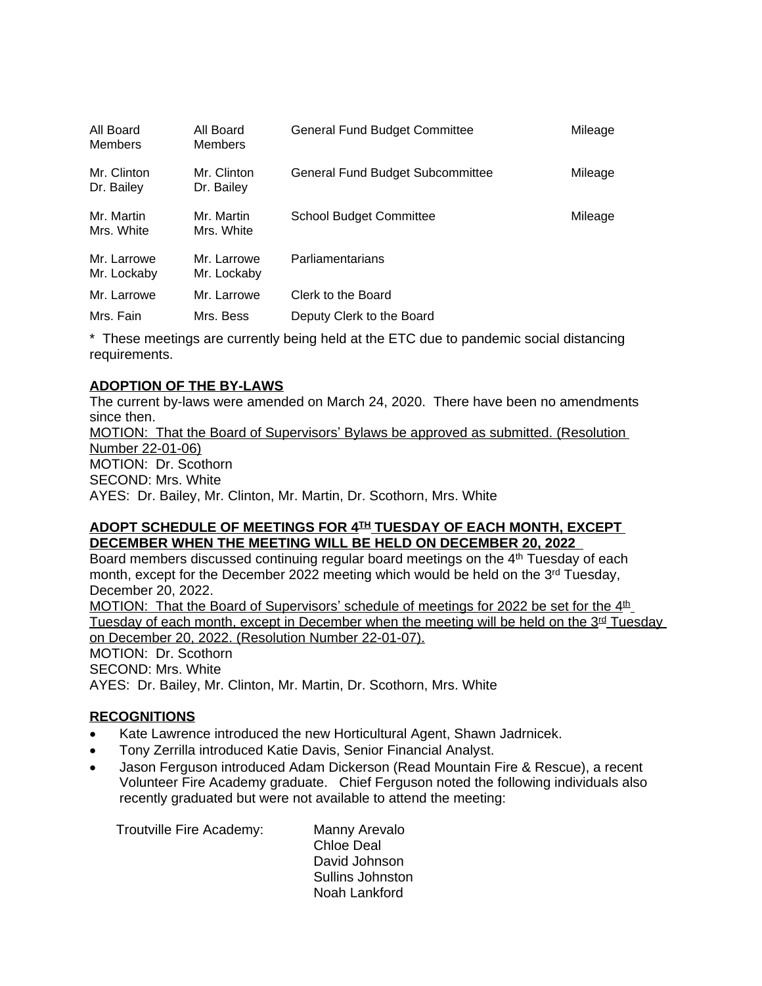| All Board<br>Members       | All Board<br><b>Members</b> | <b>General Fund Budget Committee</b>    | Mileage |
|----------------------------|-----------------------------|-----------------------------------------|---------|
| Mr. Clinton<br>Dr. Bailey  | Mr. Clinton<br>Dr. Bailey   | <b>General Fund Budget Subcommittee</b> | Mileage |
| Mr. Martin<br>Mrs. White   | Mr. Martin<br>Mrs. White    | <b>School Budget Committee</b>          | Mileage |
| Mr. Larrowe<br>Mr. Lockaby | Mr. Larrowe<br>Mr. Lockaby  | Parliamentarians                        |         |
| Mr. Larrowe                | Mr. Larrowe                 | Clerk to the Board                      |         |
| Mrs. Fain                  | Mrs. Bess                   | Deputy Clerk to the Board               |         |

\* These meetings are currently being held at the ETC due to pandemic social distancing requirements.

# **ADOPTION OF THE BY-LAWS**

The current by-laws were amended on March 24, 2020. There have been no amendments since then. MOTION: That the Board of Supervisors' Bylaws be approved as submitted. (Resolution

Number 22-01-06)

MOTION: Dr. Scothorn SECOND: Mrs. White

AYES: Dr. Bailey, Mr. Clinton, Mr. Martin, Dr. Scothorn, Mrs. White

## **ADOPT SCHEDULE OF MEETINGS FOR 4TH TUESDAY OF EACH MONTH, EXCEPT DECEMBER WHEN THE MEETING WILL BE HELD ON DECEMBER 20, 2022**

Board members discussed continuing regular board meetings on the 4th Tuesday of each month, except for the December 2022 meeting which would be held on the 3<sup>rd</sup> Tuesday, December 20, 2022.

MOTION: That the Board of Supervisors' schedule of meetings for 2022 be set for the 4<sup>th</sup> Tuesday of each month, except in December when the meeting will be held on the  $3^{rd}$  Tuesday on December 20, 2022. (Resolution Number 22-01-07). MOTION: Dr. Scothorn

SECOND: Mrs. White

AYES: Dr. Bailey, Mr. Clinton, Mr. Martin, Dr. Scothorn, Mrs. White

## **RECOGNITIONS**

- Kate Lawrence introduced the new Horticultural Agent, Shawn Jadrnicek.
- Tony Zerrilla introduced Katie Davis, Senior Financial Analyst.
- Jason Ferguson introduced Adam Dickerson (Read Mountain Fire & Rescue), a recent Volunteer Fire Academy graduate. Chief Ferguson noted the following individuals also recently graduated but were not available to attend the meeting:

 Troutville Fire Academy: Manny Arevalo Chloe Deal David Johnson Sullins Johnston Noah Lankford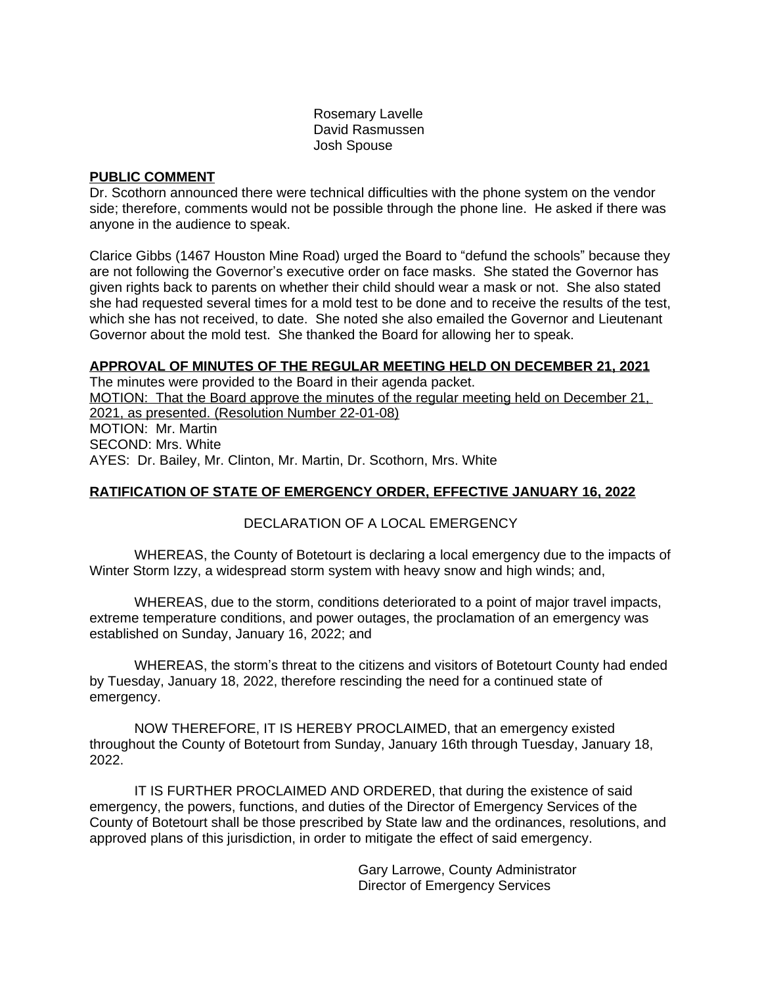Rosemary Lavelle David Rasmussen Josh Spouse

#### **PUBLIC COMMENT**

Dr. Scothorn announced there were technical difficulties with the phone system on the vendor side; therefore, comments would not be possible through the phone line. He asked if there was anyone in the audience to speak.

Clarice Gibbs (1467 Houston Mine Road) urged the Board to "defund the schools" because they are not following the Governor's executive order on face masks. She stated the Governor has given rights back to parents on whether their child should wear a mask or not. She also stated she had requested several times for a mold test to be done and to receive the results of the test, which she has not received, to date. She noted she also emailed the Governor and Lieutenant Governor about the mold test. She thanked the Board for allowing her to speak.

## **APPROVAL OF MINUTES OF THE REGULAR MEETING HELD ON DECEMBER 21, 2021**

The minutes were provided to the Board in their agenda packet. MOTION: That the Board approve the minutes of the regular meeting held on December 21, 2021, as presented. (Resolution Number 22-01-08) MOTION: Mr. Martin SECOND: Mrs. White AYES: Dr. Bailey, Mr. Clinton, Mr. Martin, Dr. Scothorn, Mrs. White

# **RATIFICATION OF STATE OF EMERGENCY ORDER, EFFECTIVE JANUARY 16, 2022**

# DECLARATION OF A LOCAL EMERGENCY

WHEREAS, the County of Botetourt is declaring a local emergency due to the impacts of Winter Storm Izzy, a widespread storm system with heavy snow and high winds; and,

WHEREAS, due to the storm, conditions deteriorated to a point of major travel impacts, extreme temperature conditions, and power outages, the proclamation of an emergency was established on Sunday, January 16, 2022; and

WHEREAS, the storm's threat to the citizens and visitors of Botetourt County had ended by Tuesday, January 18, 2022, therefore rescinding the need for a continued state of emergency.

NOW THEREFORE, IT IS HEREBY PROCLAIMED, that an emergency existed throughout the County of Botetourt from Sunday, January 16th through Tuesday, January 18, 2022.

IT IS FURTHER PROCLAIMED AND ORDERED, that during the existence of said emergency, the powers, functions, and duties of the Director of Emergency Services of the County of Botetourt shall be those prescribed by State law and the ordinances, resolutions, and approved plans of this jurisdiction, in order to mitigate the effect of said emergency.

> Gary Larrowe, County Administrator Director of Emergency Services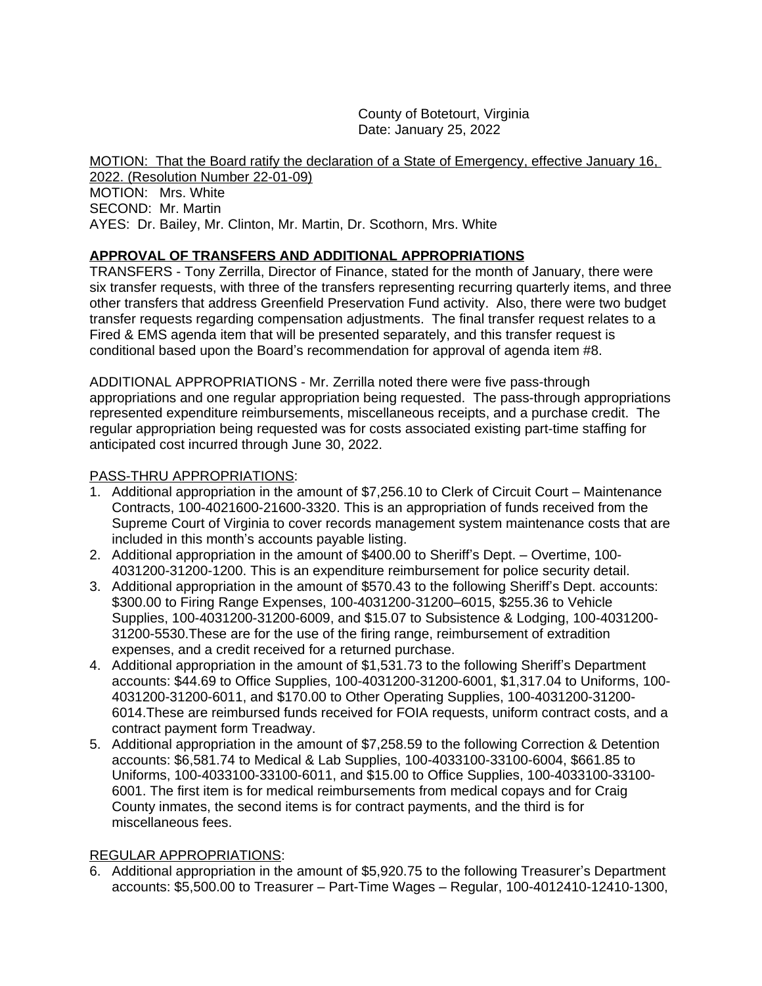County of Botetourt, Virginia Date: January 25, 2022

MOTION: That the Board ratify the declaration of a State of Emergency, effective January 16, 2022. (Resolution Number 22-01-09) MOTION: Mrs. White SECOND: Mr. Martin AYES: Dr. Bailey, Mr. Clinton, Mr. Martin, Dr. Scothorn, Mrs. White

# **APPROVAL OF TRANSFERS AND ADDITIONAL APPROPRIATIONS**

TRANSFERS - Tony Zerrilla, Director of Finance, stated for the month of January, there were six transfer requests, with three of the transfers representing recurring quarterly items, and three other transfers that address Greenfield Preservation Fund activity. Also, there were two budget transfer requests regarding compensation adjustments. The final transfer request relates to a Fired & EMS agenda item that will be presented separately, and this transfer request is conditional based upon the Board's recommendation for approval of agenda item #8.

ADDITIONAL APPROPRIATIONS - Mr. Zerrilla noted there were five pass-through appropriations and one regular appropriation being requested. The pass-through appropriations represented expenditure reimbursements, miscellaneous receipts, and a purchase credit. The regular appropriation being requested was for costs associated existing part-time staffing for anticipated cost incurred through June 30, 2022.

#### PASS-THRU APPROPRIATIONS:

- 1. Additional appropriation in the amount of \$7,256.10 to Clerk of Circuit Court Maintenance Contracts, 100-4021600-21600-3320. This is an appropriation of funds received from the Supreme Court of Virginia to cover records management system maintenance costs that are included in this month's accounts payable listing.
- 2. Additional appropriation in the amount of \$400.00 to Sheriff's Dept. Overtime, 100- 4031200-31200-1200. This is an expenditure reimbursement for police security detail.
- 3. Additional appropriation in the amount of \$570.43 to the following Sheriff's Dept. accounts: \$300.00 to Firing Range Expenses, 100-4031200-31200–6015, \$255.36 to Vehicle Supplies, 100-4031200-31200-6009, and \$15.07 to Subsistence & Lodging, 100-4031200- 31200-5530.These are for the use of the firing range, reimbursement of extradition expenses, and a credit received for a returned purchase.
- 4. Additional appropriation in the amount of \$1,531.73 to the following Sheriff's Department accounts: \$44.69 to Office Supplies, 100-4031200-31200-6001, \$1,317.04 to Uniforms, 100- 4031200-31200-6011, and \$170.00 to Other Operating Supplies, 100-4031200-31200- 6014.These are reimbursed funds received for FOIA requests, uniform contract costs, and a contract payment form Treadway.
- 5. Additional appropriation in the amount of \$7,258.59 to the following Correction & Detention accounts: \$6,581.74 to Medical & Lab Supplies, 100-4033100-33100-6004, \$661.85 to Uniforms, 100-4033100-33100-6011, and \$15.00 to Office Supplies, 100-4033100-33100- 6001. The first item is for medical reimbursements from medical copays and for Craig County inmates, the second items is for contract payments, and the third is for miscellaneous fees.

## REGULAR APPROPRIATIONS:

6. Additional appropriation in the amount of \$5,920.75 to the following Treasurer's Department accounts: \$5,500.00 to Treasurer – Part-Time Wages – Regular, 100-4012410-12410-1300,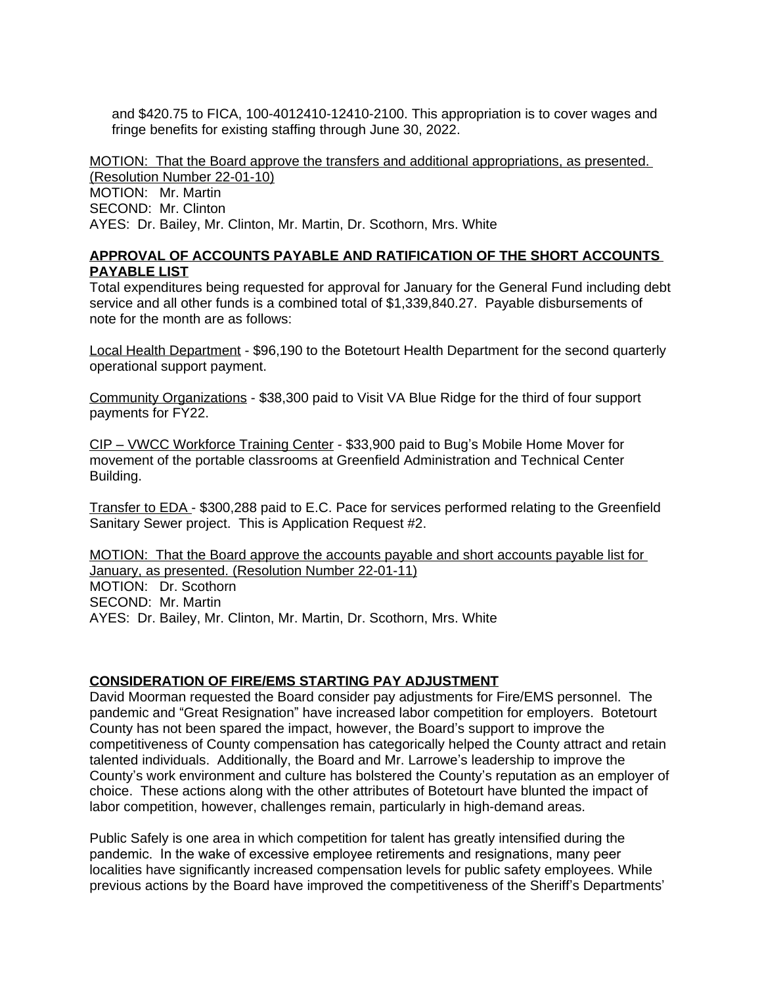and \$420.75 to FICA, 100-4012410-12410-2100. This appropriation is to cover wages and fringe benefits for existing staffing through June 30, 2022.

MOTION: That the Board approve the transfers and additional appropriations, as presented. (Resolution Number 22-01-10) MOTION: Mr. Martin SECOND: Mr. Clinton AYES: Dr. Bailey, Mr. Clinton, Mr. Martin, Dr. Scothorn, Mrs. White

#### **APPROVAL OF ACCOUNTS PAYABLE AND RATIFICATION OF THE SHORT ACCOUNTS PAYABLE LIST**

Total expenditures being requested for approval for January for the General Fund including debt service and all other funds is a combined total of \$1,339,840.27. Payable disbursements of note for the month are as follows:

Local Health Department - \$96,190 to the Botetourt Health Department for the second quarterly operational support payment.

Community Organizations - \$38,300 paid to Visit VA Blue Ridge for the third of four support payments for FY22.

CIP – VWCC Workforce Training Center - \$33,900 paid to Bug's Mobile Home Mover for movement of the portable classrooms at Greenfield Administration and Technical Center Building.

Transfer to EDA - \$300,288 paid to E.C. Pace for services performed relating to the Greenfield Sanitary Sewer project. This is Application Request #2.

MOTION: That the Board approve the accounts payable and short accounts payable list for January, as presented. (Resolution Number 22-01-11) MOTION: Dr. Scothorn SECOND: Mr. Martin

AYES: Dr. Bailey, Mr. Clinton, Mr. Martin, Dr. Scothorn, Mrs. White

## **CONSIDERATION OF FIRE/EMS STARTING PAY ADJUSTMENT**

David Moorman requested the Board consider pay adjustments for Fire/EMS personnel. The pandemic and "Great Resignation" have increased labor competition for employers. Botetourt County has not been spared the impact, however, the Board's support to improve the competitiveness of County compensation has categorically helped the County attract and retain talented individuals. Additionally, the Board and Mr. Larrowe's leadership to improve the County's work environment and culture has bolstered the County's reputation as an employer of choice. These actions along with the other attributes of Botetourt have blunted the impact of labor competition, however, challenges remain, particularly in high-demand areas.

Public Safely is one area in which competition for talent has greatly intensified during the pandemic. In the wake of excessive employee retirements and resignations, many peer localities have significantly increased compensation levels for public safety employees. While previous actions by the Board have improved the competitiveness of the Sheriff's Departments'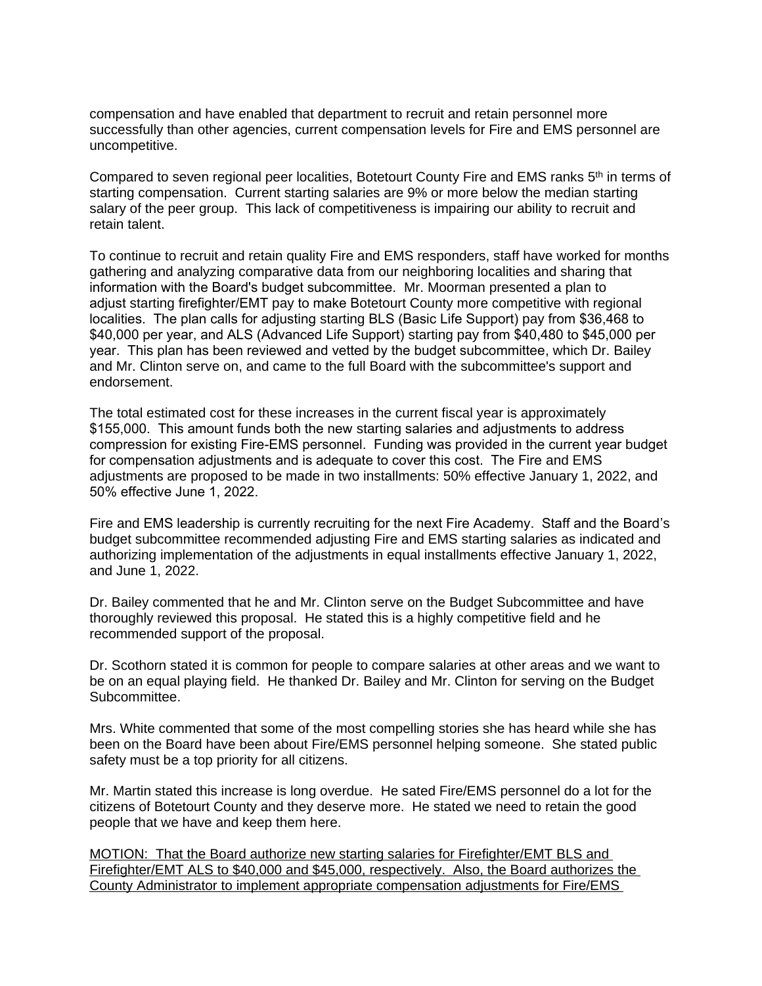compensation and have enabled that department to recruit and retain personnel more successfully than other agencies, current compensation levels for Fire and EMS personnel are uncompetitive.

Compared to seven regional peer localities, Botetourt County Fire and EMS ranks 5<sup>th</sup> in terms of starting compensation. Current starting salaries are 9% or more below the median starting salary of the peer group. This lack of competitiveness is impairing our ability to recruit and retain talent.

To continue to recruit and retain quality Fire and EMS responders, staff have worked for months gathering and analyzing comparative data from our neighboring localities and sharing that information with the Board's budget subcommittee. Mr. Moorman presented a plan to adjust starting firefighter/EMT pay to make Botetourt County more competitive with regional localities. The plan calls for adjusting starting BLS (Basic Life Support) pay from \$36,468 to \$40,000 per year, and ALS (Advanced Life Support) starting pay from \$40,480 to \$45,000 per year. This plan has been reviewed and vetted by the budget subcommittee, which Dr. Bailey and Mr. Clinton serve on, and came to the full Board with the subcommittee's support and endorsement.

The total estimated cost for these increases in the current fiscal year is approximately \$155,000. This amount funds both the new starting salaries and adjustments to address compression for existing Fire-EMS personnel. Funding was provided in the current year budget for compensation adjustments and is adequate to cover this cost. The Fire and EMS adjustments are proposed to be made in two installments: 50% effective January 1, 2022, and 50% effective June 1, 2022.

Fire and EMS leadership is currently recruiting for the next Fire Academy. Staff and the Board's budget subcommittee recommended adjusting Fire and EMS starting salaries as indicated and authorizing implementation of the adjustments in equal installments effective January 1, 2022, and June 1, 2022.

Dr. Bailey commented that he and Mr. Clinton serve on the Budget Subcommittee and have thoroughly reviewed this proposal. He stated this is a highly competitive field and he recommended support of the proposal.

Dr. Scothorn stated it is common for people to compare salaries at other areas and we want to be on an equal playing field. He thanked Dr. Bailey and Mr. Clinton for serving on the Budget Subcommittee.

Mrs. White commented that some of the most compelling stories she has heard while she has been on the Board have been about Fire/EMS personnel helping someone. She stated public safety must be a top priority for all citizens.

Mr. Martin stated this increase is long overdue. He sated Fire/EMS personnel do a lot for the citizens of Botetourt County and they deserve more. He stated we need to retain the good people that we have and keep them here.

MOTION: That the Board authorize new starting salaries for Firefighter/EMT BLS and Firefighter/EMT ALS to \$40,000 and \$45,000, respectively. Also, the Board authorizes the County Administrator to implement appropriate compensation adjustments for Fire/EMS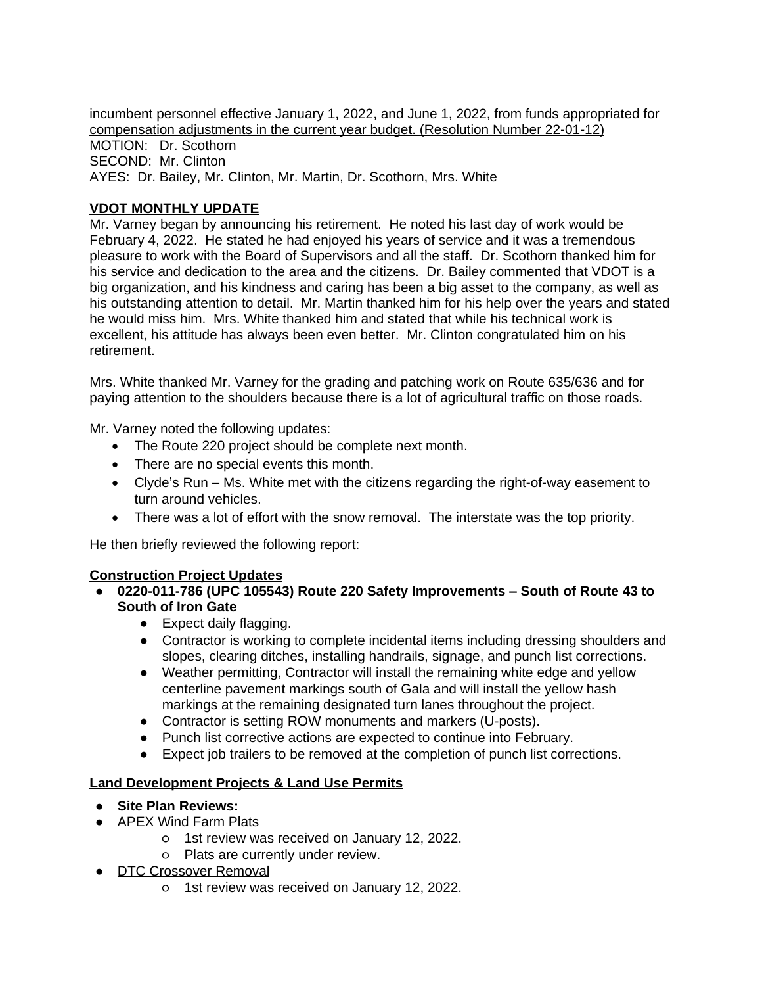incumbent personnel effective January 1, 2022, and June 1, 2022, from funds appropriated for compensation adjustments in the current year budget. (Resolution Number 22-01-12) MOTION: Dr. Scothorn SECOND: Mr. Clinton AYES: Dr. Bailey, Mr. Clinton, Mr. Martin, Dr. Scothorn, Mrs. White

# **VDOT MONTHLY UPDATE**

Mr. Varney began by announcing his retirement. He noted his last day of work would be February 4, 2022. He stated he had enjoyed his years of service and it was a tremendous pleasure to work with the Board of Supervisors and all the staff. Dr. Scothorn thanked him for his service and dedication to the area and the citizens. Dr. Bailey commented that VDOT is a big organization, and his kindness and caring has been a big asset to the company, as well as his outstanding attention to detail. Mr. Martin thanked him for his help over the years and stated he would miss him. Mrs. White thanked him and stated that while his technical work is excellent, his attitude has always been even better. Mr. Clinton congratulated him on his retirement.

Mrs. White thanked Mr. Varney for the grading and patching work on Route 635/636 and for paying attention to the shoulders because there is a lot of agricultural traffic on those roads.

Mr. Varney noted the following updates:

- The Route 220 project should be complete next month.
- There are no special events this month.
- Clyde's Run Ms. White met with the citizens regarding the right-of-way easement to turn around vehicles.
- There was a lot of effort with the snow removal. The interstate was the top priority.

He then briefly reviewed the following report:

## **Construction Project Updates**

- **0220-011-786 (UPC 105543) Route 220 Safety Improvements – South of Route 43 to South of Iron Gate**
	- Expect daily flagging.
	- Contractor is working to complete incidental items including dressing shoulders and slopes, clearing ditches, installing handrails, signage, and punch list corrections.
	- Weather permitting, Contractor will install the remaining white edge and yellow centerline pavement markings south of Gala and will install the yellow hash markings at the remaining designated turn lanes throughout the project.
	- Contractor is setting ROW monuments and markers (U-posts).
	- Punch list corrective actions are expected to continue into February.
	- Expect job trailers to be removed at the completion of punch list corrections.

## **Land Development Projects & Land Use Permits**

- **Site Plan Reviews:**
- APEX Wind Farm Plats
	- 1st review was received on January 12, 2022.
	- Plats are currently under review.
- DTC Crossover Removal
	- 1st review was received on January 12, 2022.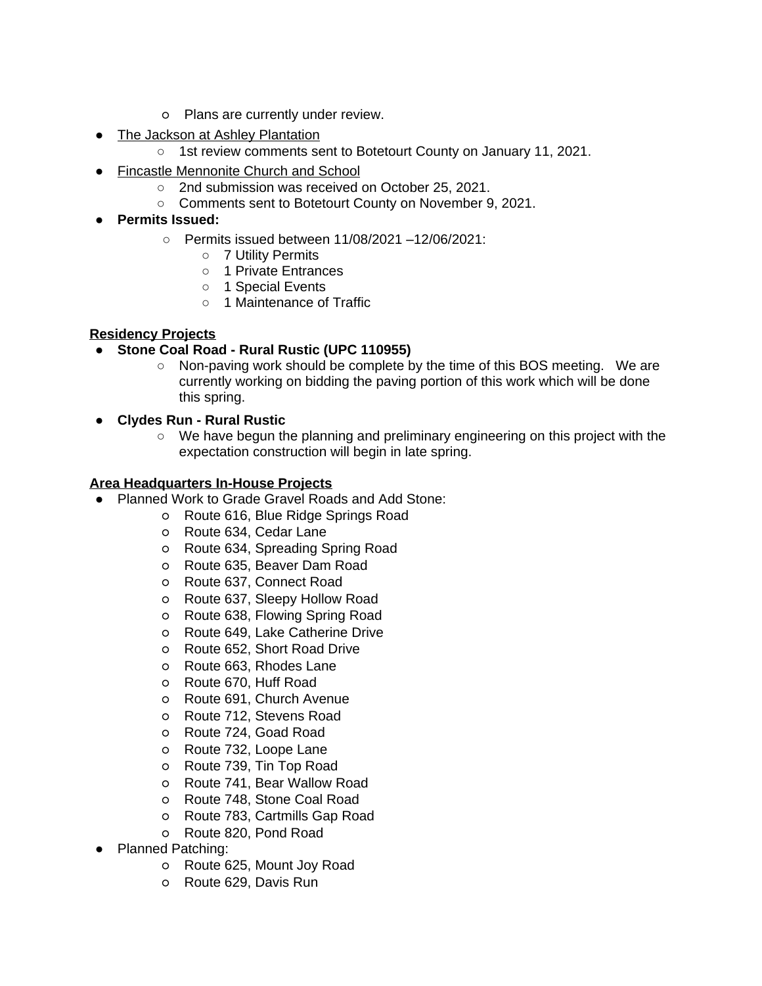- Plans are currently under review.
- The Jackson at Ashley Plantation
	- 1st review comments sent to Botetourt County on January 11, 2021.
- Fincastle Mennonite Church and School
	- 2nd submission was received on October 25, 2021.
	- Comments sent to Botetourt County on November 9, 2021.
- **● Permits Issued:**
	- Permits issued between 11/08/2021 –12/06/2021:
		- 7 Utility Permits
		- 1 Private Entrances
		- 1 Special Events
		- 1 Maintenance of Traffic

## **Residency Projects**

- **Stone Coal Road Rural Rustic (UPC 110955)**
	- Non-paving work should be complete by the time of this BOS meeting. We are currently working on bidding the paving portion of this work which will be done this spring.
- **Clydes Run Rural Rustic**
	- We have begun the planning and preliminary engineering on this project with the expectation construction will begin in late spring.

## **Area Headquarters In-House Projects**

- Planned Work to Grade Gravel Roads and Add Stone:
	- Route 616, Blue Ridge Springs Road
	- Route 634, Cedar Lane
	- Route 634, Spreading Spring Road
	- Route 635, Beaver Dam Road
	- Route 637, Connect Road
	- Route 637, Sleepy Hollow Road
	- Route 638, Flowing Spring Road
	- Route 649, Lake Catherine Drive
	- Route 652, Short Road Drive
	- Route 663, Rhodes Lane
	- Route 670, Huff Road
	- Route 691, Church Avenue
	- Route 712, Stevens Road
	- Route 724, Goad Road
	- Route 732, Loope Lane
	- o Route 739, Tin Top Road
	- Route 741, Bear Wallow Road
	- Route 748, Stone Coal Road
	- Route 783, Cartmills Gap Road
	- Route 820, Pond Road
- Planned Patching:
	- Route 625, Mount Joy Road
	- Route 629, Davis Run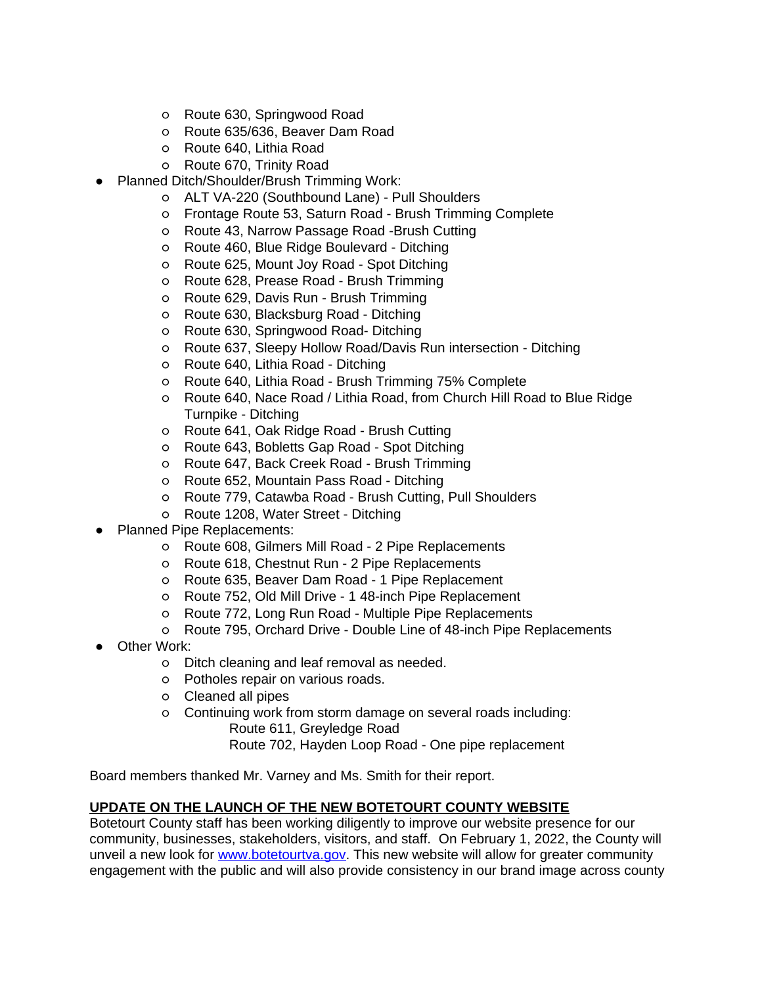- Route 630, Springwood Road
- Route 635/636, Beaver Dam Road
- Route 640, Lithia Road
- Route 670, Trinity Road
- **Planned Ditch/Shoulder/Brush Trimming Work:** 
	- ALT VA-220 (Southbound Lane) Pull Shoulders
	- Frontage Route 53, Saturn Road Brush Trimming Complete
	- Route 43, Narrow Passage Road -Brush Cutting
	- Route 460, Blue Ridge Boulevard Ditching
	- Route 625, Mount Joy Road Spot Ditching
	- Route 628, Prease Road Brush Trimming
	- Route 629, Davis Run Brush Trimming
	- Route 630, Blacksburg Road Ditching
	- Route 630, Springwood Road- Ditching
	- Route 637, Sleepy Hollow Road/Davis Run intersection Ditching
	- Route 640, Lithia Road Ditching
	- Route 640, Lithia Road Brush Trimming 75% Complete
	- Route 640, Nace Road / Lithia Road, from Church Hill Road to Blue Ridge Turnpike - Ditching
	- Route 641, Oak Ridge Road Brush Cutting
	- Route 643, Bobletts Gap Road Spot Ditching
	- Route 647, Back Creek Road Brush Trimming
	- Route 652, Mountain Pass Road Ditching
	- Route 779, Catawba Road Brush Cutting, Pull Shoulders
	- Route 1208, Water Street Ditching
- **Planned Pipe Replacements:** 
	- Route 608, Gilmers Mill Road 2 Pipe Replacements
	- Route 618, Chestnut Run 2 Pipe Replacements
	- Route 635, Beaver Dam Road 1 Pipe Replacement
	- Route 752, Old Mill Drive 1 48-inch Pipe Replacement
	- Route 772, Long Run Road Multiple Pipe Replacements
	- Route 795, Orchard Drive Double Line of 48-inch Pipe Replacements
- Other Work:
	- Ditch cleaning and leaf removal as needed.
	- Potholes repair on various roads.
	- Cleaned all pipes
	- Continuing work from storm damage on several roads including: Route 611, Greyledge Road

Route 702, Hayden Loop Road - One pipe replacement

Board members thanked Mr. Varney and Ms. Smith for their report.

## **UPDATE ON THE LAUNCH OF THE NEW BOTETOURT COUNTY WEBSITE**

Botetourt County staff has been working diligently to improve our website presence for our community, businesses, stakeholders, visitors, and staff. On February 1, 2022, the County will unveil a new look for [www.botetourtva.gov](http://www.botetourtva.gov). This new website will allow for greater community engagement with the public and will also provide consistency in our brand image across county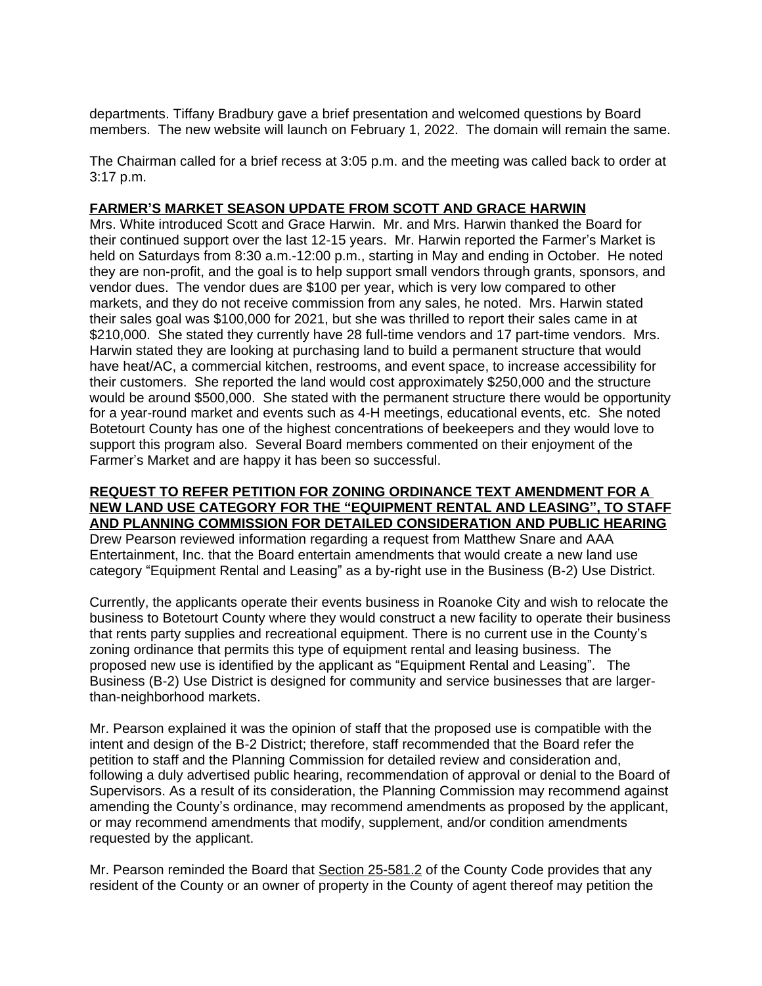departments. Tiffany Bradbury gave a brief presentation and welcomed questions by Board members. The new website will launch on February 1, 2022. The domain will remain the same.

The Chairman called for a brief recess at 3:05 p.m. and the meeting was called back to order at 3:17 p.m.

#### **FARMER'S MARKET SEASON UPDATE FROM SCOTT AND GRACE HARWIN**

Mrs. White introduced Scott and Grace Harwin. Mr. and Mrs. Harwin thanked the Board for their continued support over the last 12-15 years. Mr. Harwin reported the Farmer's Market is held on Saturdays from 8:30 a.m.-12:00 p.m., starting in May and ending in October. He noted they are non-profit, and the goal is to help support small vendors through grants, sponsors, and vendor dues. The vendor dues are \$100 per year, which is very low compared to other markets, and they do not receive commission from any sales, he noted. Mrs. Harwin stated their sales goal was \$100,000 for 2021, but she was thrilled to report their sales came in at \$210,000. She stated they currently have 28 full-time vendors and 17 part-time vendors. Mrs. Harwin stated they are looking at purchasing land to build a permanent structure that would have heat/AC, a commercial kitchen, restrooms, and event space, to increase accessibility for their customers. She reported the land would cost approximately \$250,000 and the structure would be around \$500,000. She stated with the permanent structure there would be opportunity for a year-round market and events such as 4-H meetings, educational events, etc. She noted Botetourt County has one of the highest concentrations of beekeepers and they would love to support this program also. Several Board members commented on their enjoyment of the Farmer's Market and are happy it has been so successful.

# **REQUEST TO REFER PETITION FOR ZONING ORDINANCE TEXT AMENDMENT FOR A NEW LAND USE CATEGORY FOR THE "EQUIPMENT RENTAL AND LEASING", TO STAFF AND PLANNING COMMISSION FOR DETAILED CONSIDERATION AND PUBLIC HEARING**

Drew Pearson reviewed information regarding a request from Matthew Snare and AAA Entertainment, Inc. that the Board entertain amendments that would create a new land use category "Equipment Rental and Leasing" as a by-right use in the Business (B-2) Use District.

Currently, the applicants operate their events business in Roanoke City and wish to relocate the business to Botetourt County where they would construct a new facility to operate their business that rents party supplies and recreational equipment. There is no current use in the County's zoning ordinance that permits this type of equipment rental and leasing business. The proposed new use is identified by the applicant as "Equipment Rental and Leasing". The Business (B-2) Use District is designed for community and service businesses that are largerthan-neighborhood markets.

Mr. Pearson explained it was the opinion of staff that the proposed use is compatible with the intent and design of the B-2 District; therefore, staff recommended that the Board refer the petition to staff and the Planning Commission for detailed review and consideration and, following a duly advertised public hearing, recommendation of approval or denial to the Board of Supervisors. As a result of its consideration, the Planning Commission may recommend against amending the County's ordinance, may recommend amendments as proposed by the applicant, or may recommend amendments that modify, supplement, and/or condition amendments requested by the applicant.

Mr. Pearson reminded the Board that Section 25-581.2 of the County Code provides that any resident of the County or an owner of property in the County of agent thereof may petition the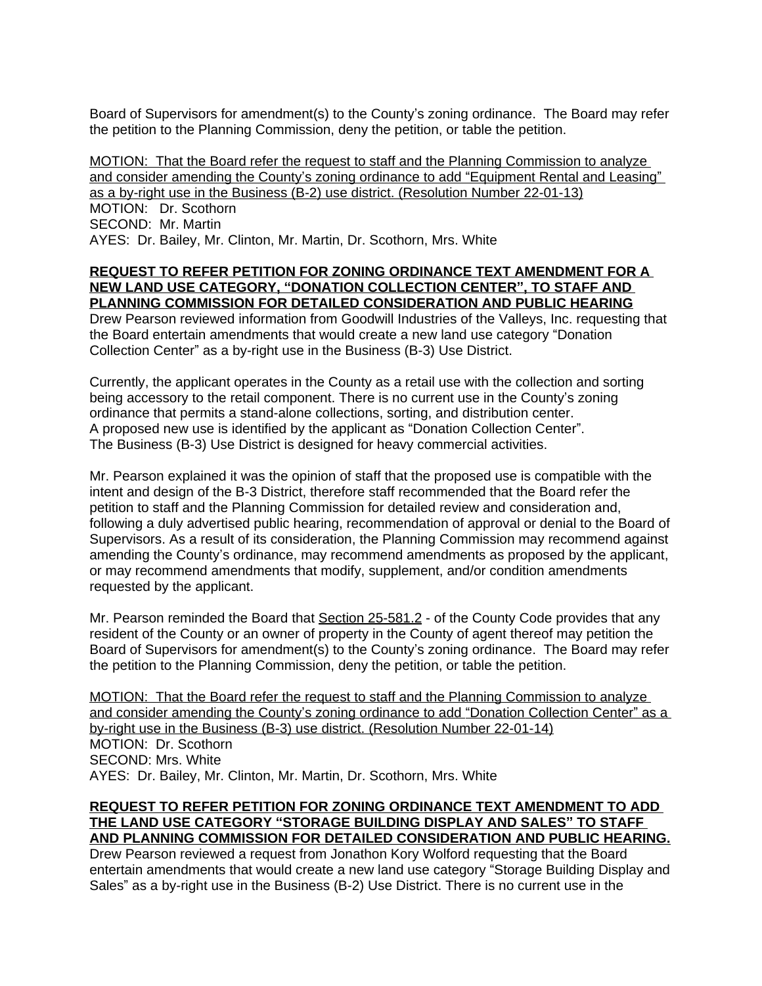Board of Supervisors for amendment(s) to the County's zoning ordinance. The Board may refer the petition to the Planning Commission, deny the petition, or table the petition.

MOTION: That the Board refer the request to staff and the Planning Commission to analyze and consider amending the County's zoning ordinance to add "Equipment Rental and Leasing" as a by-right use in the Business (B-2) use district. (Resolution Number 22-01-13) MOTION: Dr. Scothorn SECOND: Mr. Martin AYES: Dr. Bailey, Mr. Clinton, Mr. Martin, Dr. Scothorn, Mrs. White

#### **REQUEST TO REFER PETITION FOR ZONING ORDINANCE TEXT AMENDMENT FOR A NEW LAND USE CATEGORY, "DONATION COLLECTION CENTER", TO STAFF AND PLANNING COMMISSION FOR DETAILED CONSIDERATION AND PUBLIC HEARING**

Drew Pearson reviewed information from Goodwill Industries of the Valleys, Inc. requesting that the Board entertain amendments that would create a new land use category "Donation Collection Center" as a by-right use in the Business (B-3) Use District.

Currently, the applicant operates in the County as a retail use with the collection and sorting being accessory to the retail component. There is no current use in the County's zoning ordinance that permits a stand-alone collections, sorting, and distribution center. A proposed new use is identified by the applicant as "Donation Collection Center". The Business (B-3) Use District is designed for heavy commercial activities.

Mr. Pearson explained it was the opinion of staff that the proposed use is compatible with the intent and design of the B-3 District, therefore staff recommended that the Board refer the petition to staff and the Planning Commission for detailed review and consideration and, following a duly advertised public hearing, recommendation of approval or denial to the Board of Supervisors. As a result of its consideration, the Planning Commission may recommend against amending the County's ordinance, may recommend amendments as proposed by the applicant, or may recommend amendments that modify, supplement, and/or condition amendments requested by the applicant.

Mr. Pearson reminded the Board that Section 25-581.2 - of the County Code provides that any resident of the County or an owner of property in the County of agent thereof may petition the Board of Supervisors for amendment(s) to the County's zoning ordinance. The Board may refer the petition to the Planning Commission, deny the petition, or table the petition.

MOTION: That the Board refer the request to staff and the Planning Commission to analyze and consider amending the County's zoning ordinance to add "Donation Collection Center" as a by-right use in the Business (B-3) use district. (Resolution Number 22-01-14) MOTION: Dr. Scothorn SECOND: Mrs. White AYES: Dr. Bailey, Mr. Clinton, Mr. Martin, Dr. Scothorn, Mrs. White

#### **REQUEST TO REFER PETITION FOR ZONING ORDINANCE TEXT AMENDMENT TO ADD THE LAND USE CATEGORY "STORAGE BUILDING DISPLAY AND SALES" TO STAFF AND PLANNING COMMISSION FOR DETAILED CONSIDERATION AND PUBLIC HEARING.** Drew Pearson reviewed a request from Jonathon Kory Wolford requesting that the Board entertain amendments that would create a new land use category "Storage Building Display and Sales" as a by-right use in the Business (B-2) Use District. There is no current use in the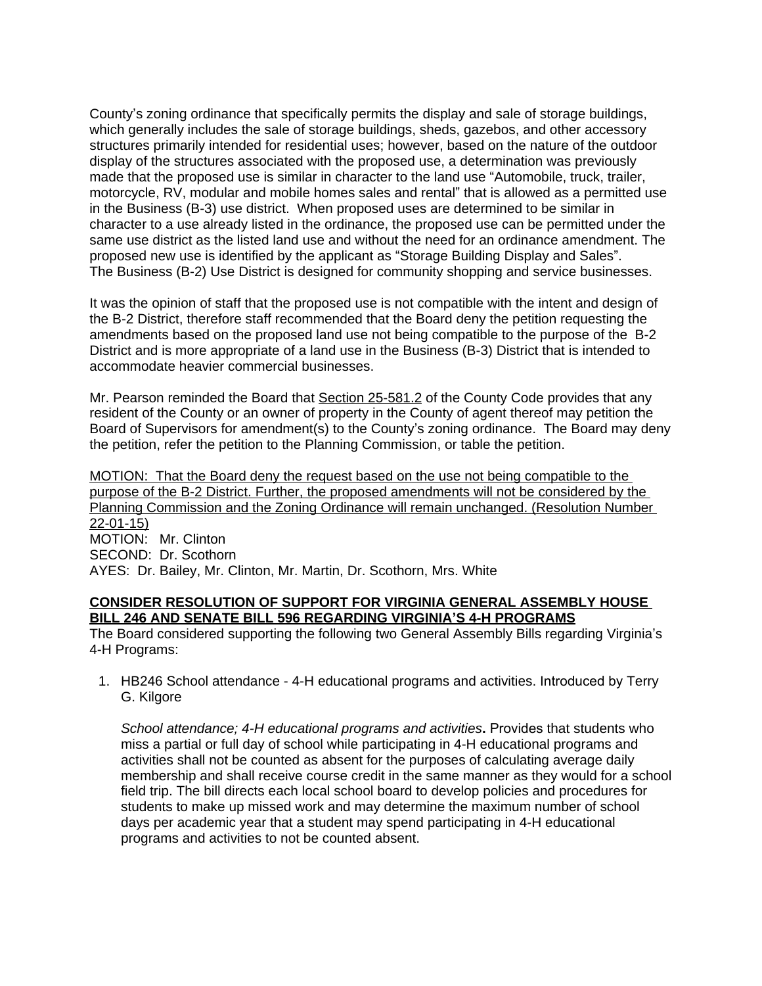County's zoning ordinance that specifically permits the display and sale of storage buildings, which generally includes the sale of storage buildings, sheds, gazebos, and other accessory structures primarily intended for residential uses; however, based on the nature of the outdoor display of the structures associated with the proposed use, a determination was previously made that the proposed use is similar in character to the land use "Automobile, truck, trailer, motorcycle, RV, modular and mobile homes sales and rental" that is allowed as a permitted use in the Business (B-3) use district. When proposed uses are determined to be similar in character to a use already listed in the ordinance, the proposed use can be permitted under the same use district as the listed land use and without the need for an ordinance amendment. The proposed new use is identified by the applicant as "Storage Building Display and Sales". The Business (B-2) Use District is designed for community shopping and service businesses.

It was the opinion of staff that the proposed use is not compatible with the intent and design of the B-2 District, therefore staff recommended that the Board deny the petition requesting the amendments based on the proposed land use not being compatible to the purpose of the B-2 District and is more appropriate of a land use in the Business (B-3) District that is intended to accommodate heavier commercial businesses.

Mr. Pearson reminded the Board that Section 25-581.2 of the County Code provides that any resident of the County or an owner of property in the County of agent thereof may petition the Board of Supervisors for amendment(s) to the County's zoning ordinance. The Board may deny the petition, refer the petition to the Planning Commission, or table the petition.

MOTION: That the Board deny the request based on the use not being compatible to the purpose of the B-2 District. Further, the proposed amendments will not be considered by the Planning Commission and the Zoning Ordinance will remain unchanged. (Resolution Number 22-01-15) MOTION: Mr. Clinton SECOND: Dr. Scothorn AYES: Dr. Bailey, Mr. Clinton, Mr. Martin, Dr. Scothorn, Mrs. White

#### **CONSIDER RESOLUTION OF SUPPORT FOR VIRGINIA GENERAL ASSEMBLY HOUSE BILL 246 AND SENATE BILL 596 REGARDING VIRGINIA'S 4-H PROGRAMS**

The Board considered supporting the following two General Assembly Bills regarding Virginia's 4-H Programs:

1. HB246 School attendance - 4-H educational programs and activities. Introduced by [Terry](https://lis.virginia.gov/cgi-bin/legp604.exe?221+mbr+H56)  G. Kilgore

*School attendance; 4-H educational programs and activities***.** Provides that students who miss a partial or full day of school while participating in 4-H educational programs and activities shall not be counted as absent for the purposes of calculating average daily membership and shall receive course credit in the same manner as they would for a school field trip. The bill directs each local school board to develop policies and procedures for students to make up missed work and may determine the maximum number of school days per academic year that a student may spend participating in 4-H educational programs and activities to not be counted absent.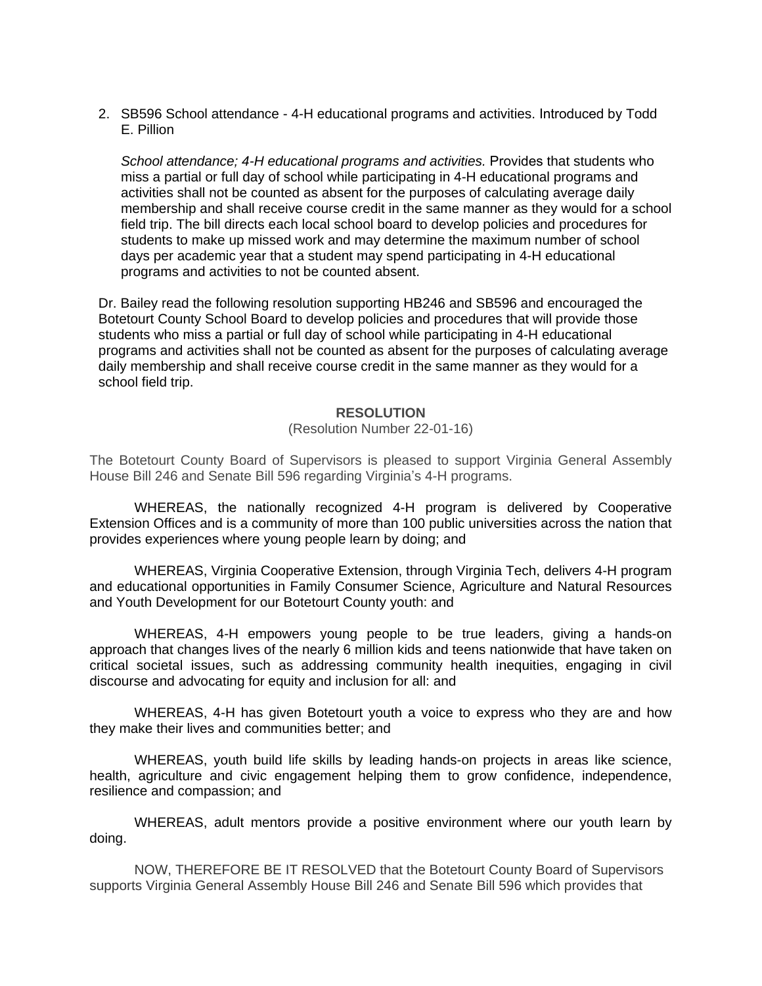2. SB596 School attendance - 4-H educational programs and activities. Introduced by [Todd](https://lis.virginia.gov/cgi-bin/legp604.exe?221+mbr+S111)  E. Pillion

*School attendance; 4-H educational programs and activities.* Provides that students who miss a partial or full day of school while participating in 4-H educational programs and activities shall not be counted as absent for the purposes of calculating average daily membership and shall receive course credit in the same manner as they would for a school field trip. The bill directs each local school board to develop policies and procedures for students to make up missed work and may determine the maximum number of school days per academic year that a student may spend participating in 4-H educational programs and activities to not be counted absent.

Dr. Bailey read the following resolution supporting HB246 and SB596 and encouraged the Botetourt County School Board to develop policies and procedures that will provide those students who miss a partial or full day of school while participating in 4-H educational programs and activities shall not be counted as absent for the purposes of calculating average daily membership and shall receive course credit in the same manner as they would for a school field trip.

#### **RESOLUTION**

#### (Resolution Number 22-01-16)

The Botetourt County Board of Supervisors is pleased to support Virginia General Assembly House Bill 246 and Senate Bill 596 regarding Virginia's 4-H programs.

WHEREAS, the nationally recognized 4-H program is delivered by Cooperative Extension Offices and is a community of more than 100 public universities across the nation that provides experiences where young people learn by doing; and

WHEREAS, Virginia Cooperative Extension, through Virginia Tech, delivers 4-H program and educational opportunities in Family Consumer Science, Agriculture and Natural Resources and Youth Development for our Botetourt County youth: and

WHEREAS, 4-H empowers young people to be true leaders, giving a hands-on approach that changes lives of the nearly 6 million kids and teens nationwide that have taken on critical societal issues, such as addressing community health inequities, engaging in civil discourse and advocating for equity and inclusion for all: and

WHEREAS, 4-H has given Botetourt youth a voice to express who they are and how they make their lives and communities better; and

WHEREAS, youth build life skills by leading hands-on projects in areas like science, health, agriculture and civic engagement helping them to grow confidence, independence, resilience and compassion; and

WHEREAS, adult mentors provide a positive environment where our youth learn by doing.

NOW, THEREFORE BE IT RESOLVED that the Botetourt County Board of Supervisors supports Virginia General Assembly House Bill 246 and Senate Bill 596 which provides that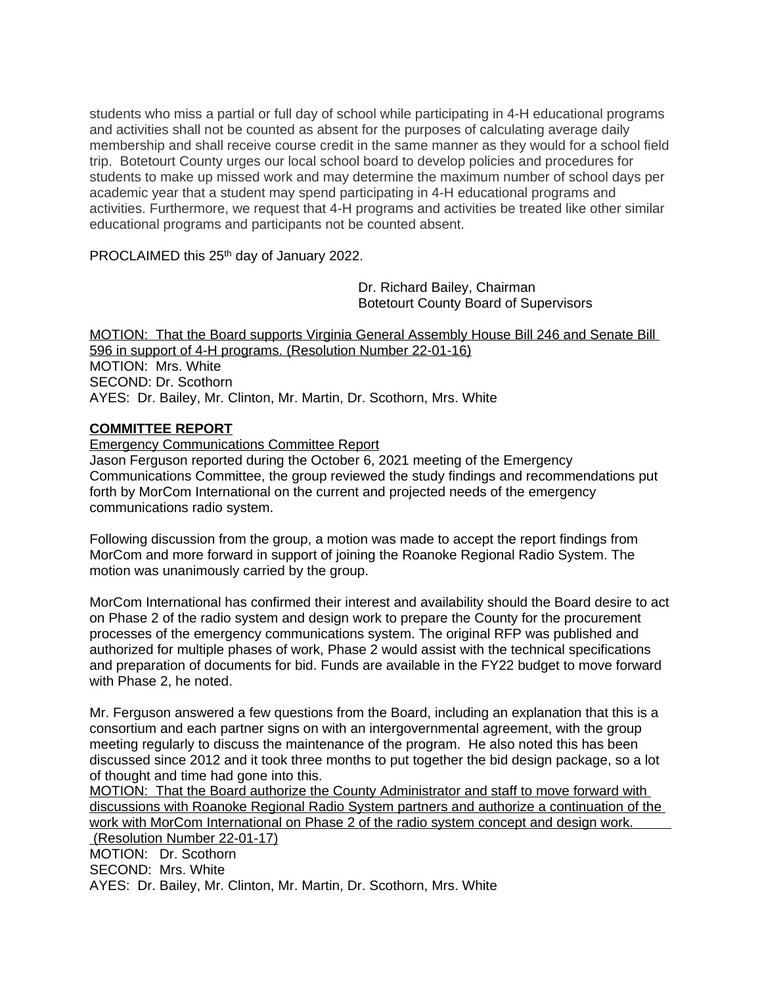students who miss a partial or full day of school while participating in 4-H educational programs and activities shall not be counted as absent for the purposes of calculating average daily membership and shall receive course credit in the same manner as they would for a school field trip. Botetourt County urges our local school board to develop policies and procedures for students to make up missed work and may determine the maximum number of school days per academic year that a student may spend participating in 4-H educational programs and activities. Furthermore, we request that 4-H programs and activities be treated like other similar educational programs and participants not be counted absent.

PROCLAIMED this 25<sup>th</sup> day of January 2022.

Dr. Richard Bailey, Chairman Botetourt County Board of Supervisors

MOTION: That the Board supports Virginia General Assembly House Bill 246 and Senate Bill 596 in support of 4-H programs. (Resolution Number 22-01-16) MOTION: Mrs. White SECOND: Dr. Scothorn AYES: Dr. Bailey, Mr. Clinton, Mr. Martin, Dr. Scothorn, Mrs. White

#### **COMMITTEE REPORT**

Emergency Communications Committee Report

Jason Ferguson reported during the October 6, 2021 meeting of the Emergency Communications Committee, the group reviewed the study findings and recommendations put forth by MorCom International on the current and projected needs of the emergency communications radio system.

Following discussion from the group, a motion was made to accept the report findings from MorCom and more forward in support of joining the Roanoke Regional Radio System. The motion was unanimously carried by the group.

MorCom International has confirmed their interest and availability should the Board desire to act on Phase 2 of the radio system and design work to prepare the County for the procurement processes of the emergency communications system. The original RFP was published and authorized for multiple phases of work, Phase 2 would assist with the technical specifications and preparation of documents for bid. Funds are available in the FY22 budget to move forward with Phase 2, he noted.

Mr. Ferguson answered a few questions from the Board, including an explanation that this is a consortium and each partner signs on with an intergovernmental agreement, with the group meeting regularly to discuss the maintenance of the program. He also noted this has been discussed since 2012 and it took three months to put together the bid design package, so a lot of thought and time had gone into this.

MOTION: That the Board authorize the County Administrator and staff to move forward with discussions with Roanoke Regional Radio System partners and authorize a continuation of the work with MorCom International on Phase 2 of the radio system concept and design work.

 (Resolution Number 22-01-17) MOTION: Dr. Scothorn SECOND: Mrs. White AYES: Dr. Bailey, Mr. Clinton, Mr. Martin, Dr. Scothorn, Mrs. White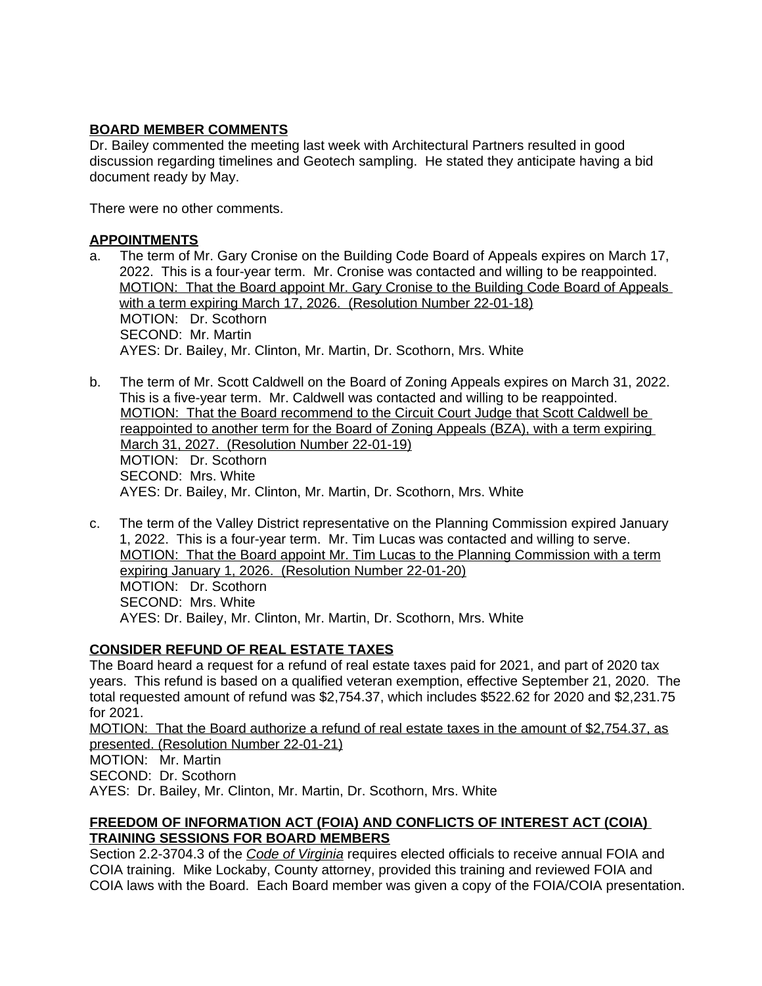## **BOARD MEMBER COMMENTS**

Dr. Bailey commented the meeting last week with Architectural Partners resulted in good discussion regarding timelines and Geotech sampling. He stated they anticipate having a bid document ready by May.

There were no other comments.

## **APPOINTMENTS**

- a. The term of Mr. Gary Cronise on the Building Code Board of Appeals expires on March 17, 2022. This is a four-year term. Mr. Cronise was contacted and willing to be reappointed. MOTION: That the Board appoint Mr. Gary Cronise to the Building Code Board of Appeals with a term expiring March 17, 2026. (Resolution Number 22-01-18) MOTION: Dr. Scothorn SECOND: Mr. Martin AYES: Dr. Bailey, Mr. Clinton, Mr. Martin, Dr. Scothorn, Mrs. White
- b. The term of Mr. Scott Caldwell on the Board of Zoning Appeals expires on March 31, 2022. This is a five-year term. Mr. Caldwell was contacted and willing to be reappointed. MOTION: That the Board recommend to the Circuit Court Judge that Scott Caldwell be reappointed to another term for the Board of Zoning Appeals (BZA), with a term expiring March 31, 2027. (Resolution Number 22-01-19) MOTION: Dr. Scothorn SECOND: Mrs. White AYES: Dr. Bailey, Mr. Clinton, Mr. Martin, Dr. Scothorn, Mrs. White
- c. The term of the Valley District representative on the Planning Commission expired January 1, 2022. This is a four-year term. Mr. Tim Lucas was contacted and willing to serve. MOTION: That the Board appoint Mr. Tim Lucas to the Planning Commission with a term expiring January 1, 2026. (Resolution Number 22-01-20) MOTION: Dr. Scothorn SECOND: Mrs. White AYES: Dr. Bailey, Mr. Clinton, Mr. Martin, Dr. Scothorn, Mrs. White

## **CONSIDER REFUND OF REAL ESTATE TAXES**

The Board heard a request for a refund of real estate taxes paid for 2021, and part of 2020 tax years. This refund is based on a qualified veteran exemption, effective September 21, 2020. The total requested amount of refund was \$2,754.37, which includes \$522.62 for 2020 and \$2,231.75 for 2021.

MOTION: That the Board authorize a refund of real estate taxes in the amount of \$2,754.37, as presented. (Resolution Number 22-01-21)

MOTION: Mr. Martin

SECOND: Dr. Scothorn

AYES: Dr. Bailey, Mr. Clinton, Mr. Martin, Dr. Scothorn, Mrs. White

# **FREEDOM OF INFORMATION ACT (FOIA) AND CONFLICTS OF INTEREST ACT (COIA) TRAINING SESSIONS FOR BOARD MEMBERS**

Section 2.2-3704.3 of the *Code of Virginia* requires elected officials to receive annual FOIA and COIA training. Mike Lockaby, County attorney, provided this training and reviewed FOIA and COIA laws with the Board. Each Board member was given a copy of the FOIA/COIA presentation.